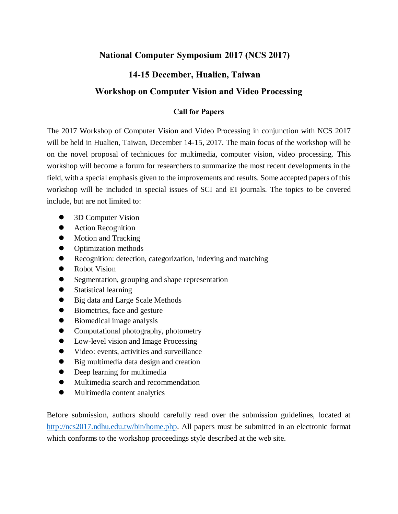# **National Computer Symposium 2017 (NCS 2017)**

# **14-15 December, Hualien, Taiwan**

## **Workshop on Computer Vision and Video Processing**

### **Call for Papers**

The 2017 Workshop of Computer Vision and Video Processing in conjunction with NCS 2017 will be held in Hualien, Taiwan, December 14-15, 2017. The main focus of the workshop will be on the novel proposal of techniques for multimedia, computer vision, video processing. This workshop will become a forum for researchers to summarize the most recent developments in the field, with a special emphasis given to the improvements and results. Some accepted papers of this workshop will be included in special issues of SCI and EI journals. The topics to be covered include, but are not limited to:

- 3D Computer Vision
- Action Recognition
- Motion and Tracking
- Optimization methods
- Recognition: detection, categorization, indexing and matching
- Robot Vision
- Segmentation, grouping and shape representation
- Statistical learning
- Big data and Large Scale Methods
- Biometrics, face and gesture
- Biomedical image analysis
- Computational photography, photometry
- Low-level vision and Image Processing
- Video: events, activities and surveillance
- Big multimedia data design and creation
- Deep learning for multimedia
- Multimedia search and recommendation
- Multimedia content analytics

Before submission, authors should carefully read over the submission guidelines, located at [http://ncs2017.ndhu.edu.tw/bin/home.php.](http://ncs2017.ndhu.edu.tw/bin/home.php) All papers must be submitted in an electronic format which conforms to the workshop proceedings style described at the web site.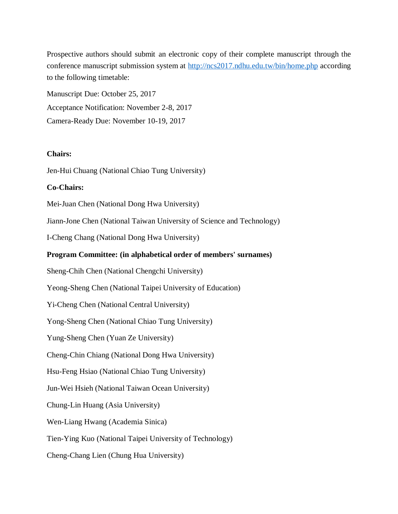Prospective authors should submit an electronic copy of their complete manuscript through the conference manuscript submission system at<http://ncs2017.ndhu.edu.tw/bin/home.php> according to the following timetable:

Manuscript Due: October 25, 2017 Acceptance Notification: November 2-8, 2017 Camera-Ready Due: November 10-19, 2017

### **Chairs:**

Jen-Hui Chuang (National Chiao Tung University)

#### **Co-Chairs:**

Mei-Juan Chen (National Dong Hwa University)

Jiann-Jone Chen (National Taiwan University of Science and Technology)

I-Cheng Chang (National Dong Hwa University)

### **Program Committee: (in alphabetical order of members' surnames)**

Sheng-Chih Chen (National Chengchi University)

Yeong-Sheng Chen (National Taipei University of Education)

Yi-Cheng Chen (National Central University)

Yong-Sheng Chen (National Chiao Tung University)

Yung-Sheng Chen (Yuan Ze University)

Cheng-Chin Chiang (National Dong Hwa University)

Hsu-Feng Hsiao (National Chiao Tung University)

Jun-Wei Hsieh (National Taiwan Ocean University)

Chung-Lin Huang (Asia University)

Wen-Liang Hwang (Academia Sinica)

Tien-Ying Kuo (National Taipei University of Technology)

Cheng-Chang Lien (Chung Hua University)